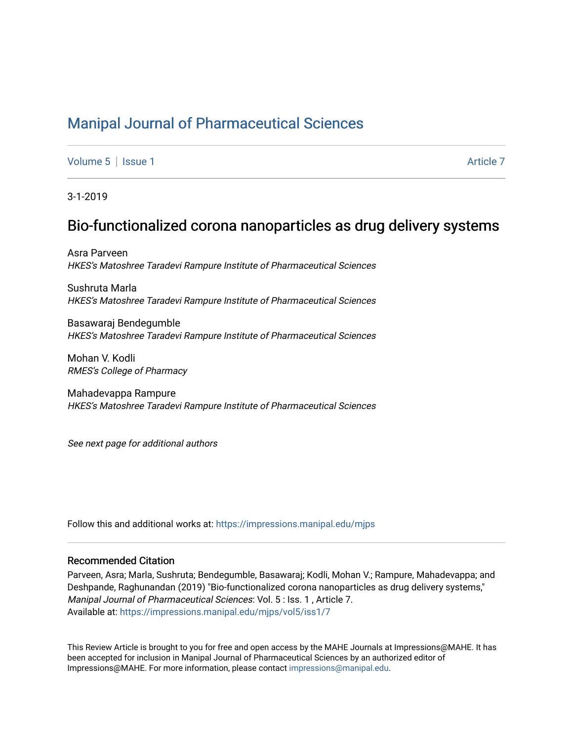## [Manipal Journal of Pharmaceutical Sciences](https://impressions.manipal.edu/mjps)

[Volume 5](https://impressions.manipal.edu/mjps/vol5) | [Issue 1](https://impressions.manipal.edu/mjps/vol5/iss1) [Article 7](https://impressions.manipal.edu/mjps/vol5/iss1/7) Article 7 Article 7 Article 7 Article 7 Article 7 Article 7 Article 7 Article 7 Article 7 Article 7 Article 7 Article 7 Article 7 Article 7 Article 7 Article 7 Article 7 Article 7 Article 7 Art

3-1-2019

## Bio-functionalized corona nanoparticles as drug delivery systems

Asra Parveen HKES's Matoshree Taradevi Rampure Institute of Pharmaceutical Sciences

Sushruta Marla HKES's Matoshree Taradevi Rampure Institute of Pharmaceutical Sciences

Basawaraj Bendegumble HKES's Matoshree Taradevi Rampure Institute of Pharmaceutical Sciences

Mohan V. Kodli RMES's College of Pharmacy

Mahadevappa Rampure HKES's Matoshree Taradevi Rampure Institute of Pharmaceutical Sciences

See next page for additional authors

Follow this and additional works at: [https://impressions.manipal.edu/mjps](https://impressions.manipal.edu/mjps?utm_source=impressions.manipal.edu%2Fmjps%2Fvol5%2Fiss1%2F7&utm_medium=PDF&utm_campaign=PDFCoverPages)

#### Recommended Citation

Parveen, Asra; Marla, Sushruta; Bendegumble, Basawaraj; Kodli, Mohan V.; Rampure, Mahadevappa; and Deshpande, Raghunandan (2019) "Bio-functionalized corona nanoparticles as drug delivery systems," Manipal Journal of Pharmaceutical Sciences: Vol. 5 : Iss. 1 , Article 7. Available at: [https://impressions.manipal.edu/mjps/vol5/iss1/7](https://impressions.manipal.edu/mjps/vol5/iss1/7?utm_source=impressions.manipal.edu%2Fmjps%2Fvol5%2Fiss1%2F7&utm_medium=PDF&utm_campaign=PDFCoverPages)

This Review Article is brought to you for free and open access by the MAHE Journals at Impressions@MAHE. It has been accepted for inclusion in Manipal Journal of Pharmaceutical Sciences by an authorized editor of Impressions@MAHE. For more information, please contact [impressions@manipal.edu](mailto:impressions@manipal.edu).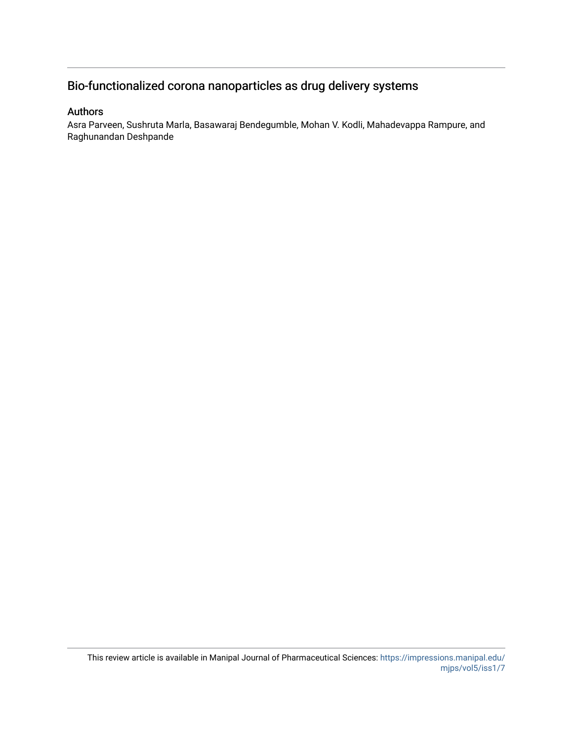## Bio-functionalized corona nanoparticles as drug delivery systems

#### Authors

Asra Parveen, Sushruta Marla, Basawaraj Bendegumble, Mohan V. Kodli, Mahadevappa Rampure, and Raghunandan Deshpande